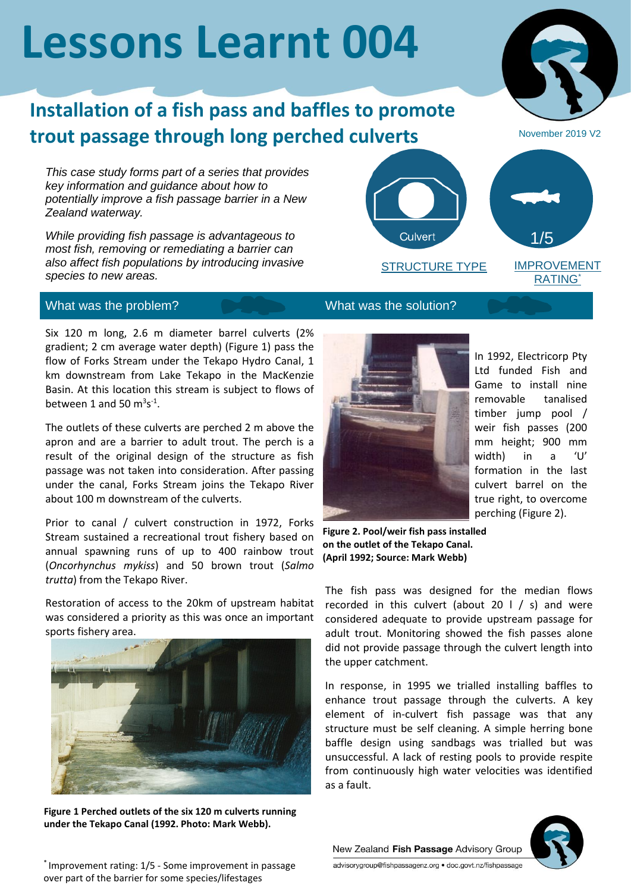# **Lessons Learnt 004**

## **Installation of a fish pass and baffles to promote trout passage through long perched culverts**

*This case study forms part of a series that provides key information and guidance about how to potentially improve a fish passage barrier in a New Zealand waterway.*

*While providing fish passage is advantageous to most fish, removing or remediating a barrier can also affect fish populations by introducing invasive species to new areas.*

### What was the problem? What was the solution?

Six 120 m long, 2.6 m diameter barrel culverts (2% gradient; 2 cm average water depth) (Figure 1) pass the flow of Forks Stream under the Tekapo Hydro Canal, 1 km downstream from Lake Tekapo in the MacKenzie Basin. At this location this stream is subject to flows of between 1 and 50  $m^3s^{\text{-}1}$ .

The outlets of these culverts are perched 2 m above the apron and are a barrier to adult trout. The perch is a result of the original design of the structure as fish passage was not taken into consideration. After passing under the canal, Forks Stream joins the Tekapo River about 100 m downstream of the culverts.

Prior to canal / culvert construction in 1972, Forks Stream sustained a recreational trout fishery based on annual spawning runs of up to 400 rainbow trout (*Oncorhynchus mykiss*) and 50 brown trout (*Salmo trutta*) from the Tekapo River.

Restoration of access to the 20km of upstream habitat was considered a priority as this was once an important sports fishery area.



**Figure 1 Perched outlets of the six 120 m culverts running under the Tekapo Canal (1992. Photo: Mark Webb).**





In 1992, Electricorp Pty Ltd funded Fish and Game to install nine removable tanalised timber jump pool / weir fish passes (200 mm height; 900 mm width) in a 'U' formation in the last culvert barrel on the true right, to overcome perching (Figure 2).

RATING\*

November 2019 V2

**Figure 2. Pool/weir fish pass installed on the outlet of the Tekapo Canal. (April 1992; Source: Mark Webb)**

The fish pass was designed for the median flows recorded in this culvert (about 20  $\vert$  / s) and were considered adequate to provide upstream passage for adult trout. Monitoring showed the fish passes alone did not provide passage through the culvert length into the upper catchment.

In response, in 1995 we trialled installing baffles to enhance trout passage through the culverts. A key element of in-culvert fish passage was that any structure must be self cleaning. A simple herring bone baffle design using sandbags was trialled but was unsuccessful. A lack of resting pools to provide respite from continuously high water velocities was identified as a fault.



New Zealand Fish Passage Advisory Group advisorygroup@fishpassagenz.org · doc.govt.nz/fishpassage

\* Improvement rating: 1/5 - Some improvement in passage over part of the barrier for some species/lifestages